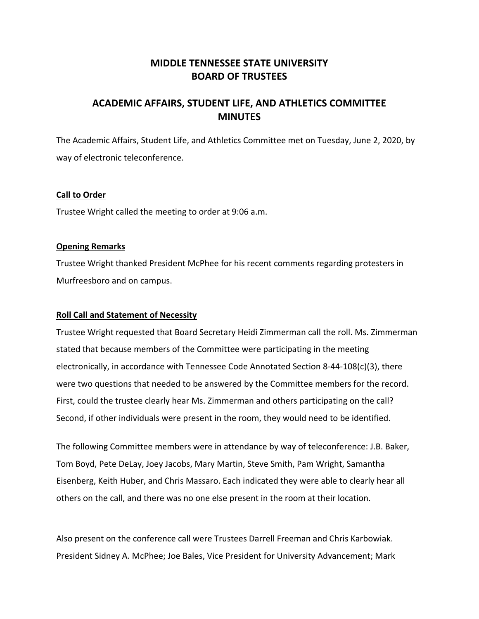# **MIDDLE TENNESSEE STATE UNIVERSITY BOARD OF TRUSTEES**

# **ACADEMIC AFFAIRS, STUDENT LIFE, AND ATHLETICS COMMITTEE MINUTES**

The Academic Affairs, Student Life, and Athletics Committee met on Tuesday, June 2, 2020, by way of electronic teleconference.

## **Call to Order**

Trustee Wright called the meeting to order at 9:06 a.m.

## **Opening Remarks**

Trustee Wright thanked President McPhee for his recent comments regarding protesters in Murfreesboro and on campus.

# **Roll Call and Statement of Necessity**

Trustee Wright requested that Board Secretary Heidi Zimmerman call the roll. Ms. Zimmerman stated that because members of the Committee were participating in the meeting electronically, in accordance with Tennessee Code Annotated Section 8‐44‐108(c)(3), there were two questions that needed to be answered by the Committee members for the record. First, could the trustee clearly hear Ms. Zimmerman and others participating on the call? Second, if other individuals were present in the room, they would need to be identified.

The following Committee members were in attendance by way of teleconference: J.B. Baker, Tom Boyd, Pete DeLay, Joey Jacobs, Mary Martin, Steve Smith, Pam Wright, Samantha Eisenberg, Keith Huber, and Chris Massaro. Each indicated they were able to clearly hear all others on the call, and there was no one else present in the room at their location.

Also present on the conference call were Trustees Darrell Freeman and Chris Karbowiak. President Sidney A. McPhee; Joe Bales, Vice President for University Advancement; Mark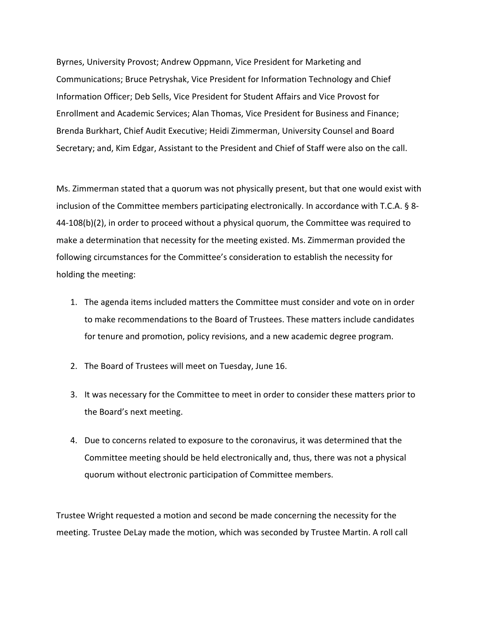Byrnes, University Provost; Andrew Oppmann, Vice President for Marketing and Communications; Bruce Petryshak, Vice President for Information Technology and Chief Information Officer; Deb Sells, Vice President for Student Affairs and Vice Provost for Enrollment and Academic Services; Alan Thomas, Vice President for Business and Finance; Brenda Burkhart, Chief Audit Executive; Heidi Zimmerman, University Counsel and Board Secretary; and, Kim Edgar, Assistant to the President and Chief of Staff were also on the call.

Ms. Zimmerman stated that a quorum was not physically present, but that one would exist with inclusion of the Committee members participating electronically. In accordance with T.C.A. § 8‐ 44‐108(b)(2), in order to proceed without a physical quorum, the Committee was required to make a determination that necessity for the meeting existed. Ms. Zimmerman provided the following circumstances for the Committee's consideration to establish the necessity for holding the meeting:

- 1. The agenda items included matters the Committee must consider and vote on in order to make recommendations to the Board of Trustees. These matters include candidates for tenure and promotion, policy revisions, and a new academic degree program.
- 2. The Board of Trustees will meet on Tuesday, June 16.
- 3. It was necessary for the Committee to meet in order to consider these matters prior to the Board's next meeting.
- 4. Due to concerns related to exposure to the coronavirus, it was determined that the Committee meeting should be held electronically and, thus, there was not a physical quorum without electronic participation of Committee members.

Trustee Wright requested a motion and second be made concerning the necessity for the meeting. Trustee DeLay made the motion, which was seconded by Trustee Martin. A roll call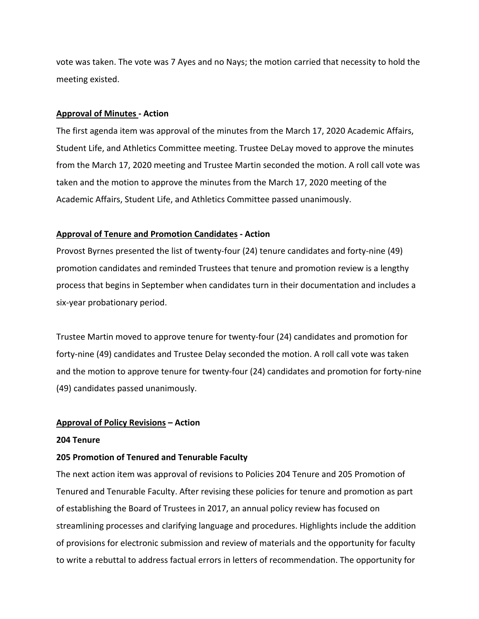vote was taken. The vote was 7 Ayes and no Nays; the motion carried that necessity to hold the meeting existed.

### **Approval of Minutes ‐ Action**

The first agenda item was approval of the minutes from the March 17, 2020 Academic Affairs, Student Life, and Athletics Committee meeting. Trustee DeLay moved to approve the minutes from the March 17, 2020 meeting and Trustee Martin seconded the motion. A roll call vote was taken and the motion to approve the minutes from the March 17, 2020 meeting of the Academic Affairs, Student Life, and Athletics Committee passed unanimously.

## **Approval of Tenure and Promotion Candidates ‐ Action**

Provost Byrnes presented the list of twenty‐four (24) tenure candidates and forty‐nine (49) promotion candidates and reminded Trustees that tenure and promotion review is a lengthy process that begins in September when candidates turn in their documentation and includes a six‐year probationary period.

Trustee Martin moved to approve tenure for twenty‐four (24) candidates and promotion for forty‐nine (49) candidates and Trustee Delay seconded the motion. A roll call vote was taken and the motion to approve tenure for twenty-four (24) candidates and promotion for forty-nine (49) candidates passed unanimously.

#### **Approval of Policy Revisions – Action**

#### **204 Tenure**

## **205 Promotion of Tenured and Tenurable Faculty**

The next action item was approval of revisions to Policies 204 Tenure and 205 Promotion of Tenured and Tenurable Faculty. After revising these policies for tenure and promotion as part of establishing the Board of Trustees in 2017, an annual policy review has focused on streamlining processes and clarifying language and procedures. Highlights include the addition of provisions for electronic submission and review of materials and the opportunity for faculty to write a rebuttal to address factual errors in letters of recommendation. The opportunity for